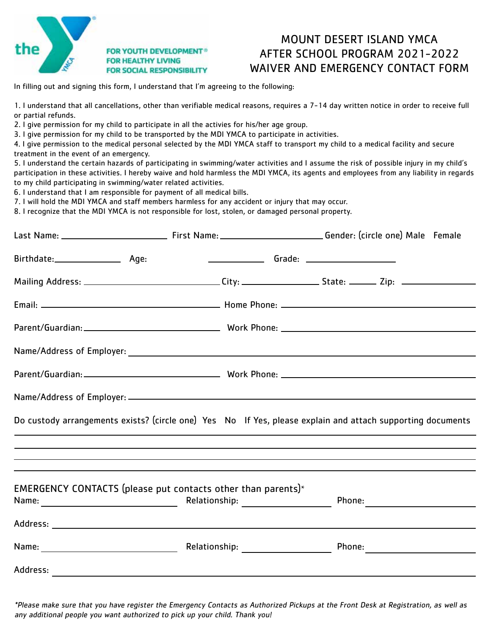

#### **FOR YOUTH DEVELOPMENT® FOR HEALTHY LIVING FOR SOCIAL RESPONSIBILITY**

# MOUNT DESERT ISLAND YMCA After School Program 2021-2022 WAIVER AND EMERGeNCY CONTACT FORM

In filling out and signing this form, I understand that I'm agreeing to the following:

1. I understand that all cancellations, other than verifiable medical reasons, requires a 7-14 day written notice in order to receive full or partial refunds.

2. I give permission for my child to participate in all the activies for his/her age group.

3. I give permission for my child to be transported by the MDI YMCA to participate in activities.

4. I give permission to the medical personal selected by the MDI YMCA staff to transport my child to a medical facility and secure treatment in the event of an emergency.

5. I understand the certain hazards of participating in swimming/water activities and I assume the risk of possible injury in my child's participation in these activities. I hereby waive and hold harmless the MDI YMCA, its agents and employees from any liability in regards to my child participating in swimming/water related activities.

6. I understand that I am responsible for payment of all medical bills.

7. I will hold the MDI YMCA and staff members harmless for any accident or injury that may occur.

8. I recognize that the MDI YMCA is not responsible for lost, stolen, or damaged personal property.

|          |                                                                                                                                                                      |  | Mailing Address: _______________________________City: __________________State: _______ Zip: __________________ |
|----------|----------------------------------------------------------------------------------------------------------------------------------------------------------------------|--|----------------------------------------------------------------------------------------------------------------|
|          |                                                                                                                                                                      |  |                                                                                                                |
|          |                                                                                                                                                                      |  |                                                                                                                |
|          |                                                                                                                                                                      |  |                                                                                                                |
|          |                                                                                                                                                                      |  |                                                                                                                |
|          |                                                                                                                                                                      |  |                                                                                                                |
|          |                                                                                                                                                                      |  | Do custody arrangements exists? (circle one) Yes No If Yes, please explain and attach supporting documents     |
|          | ,我们也不会有什么?""我们的人,我们也不会有什么?""我们的人,我们也不会有什么?""我们的人,我们也不会有什么?""我们的人,我们也不会有什么?""我们的人<br>,我们也不会有什么?""我们的人,我们也不会有什么?""我们的人,我们也不会有什么?""我们的人,我们也不会有什么?""我们的人,我们也不会有什么?""我们的人 |  |                                                                                                                |
|          |                                                                                                                                                                      |  |                                                                                                                |
|          | EMERGENCY CONTACTS (please put contacts other than parents)*                                                                                                         |  |                                                                                                                |
|          |                                                                                                                                                                      |  |                                                                                                                |
|          |                                                                                                                                                                      |  |                                                                                                                |
| Address: |                                                                                                                                                                      |  |                                                                                                                |

\*Please make sure that you have register the Emergency Contacts as Authorized Pickups at the Front Desk at Registration, as well as any additional people you want authorized to pick up your child. Thank you!